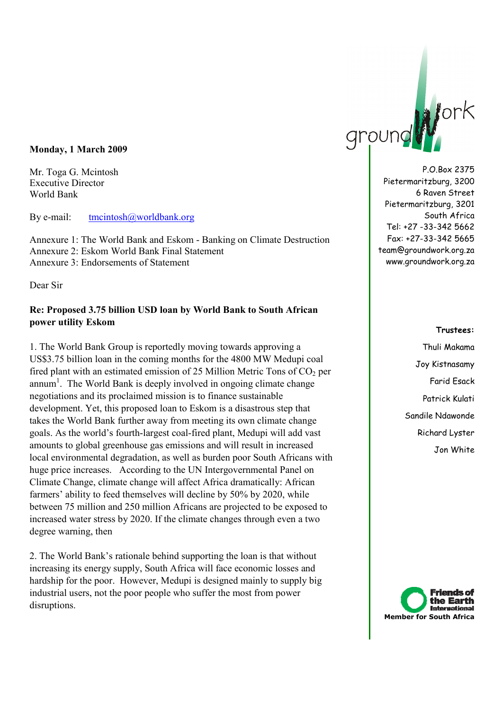## **Monday, 1 March 2009**

Mr. Toga G. Mcintosh Executive Director World Bank

By e-mail: tmcintosh@worldbank.org

Annexure 1: The World Bank and Eskom - Banking on Climate Destruction Annexure 2: Eskom World Bank Final Statement Annexure 3: Endorsements of Statement

Dear Sir

## **Re: Proposed 3.75 billion USD loan by World Bank to South African power utility Eskom**

1. The World Bank Group is reportedly moving towards approving a US\$3.75 billion loan in the coming months for the 4800 MW Medupi coal fired plant with an estimated emission of 25 Million Metric Tons of  $CO<sub>2</sub>$  per annum<sup>1</sup>. The World Bank is deeply involved in ongoing climate change negotiations and its proclaimed mission is to finance sustainable development. Yet, this proposed loan to Eskom is a disastrous step that takes the World Bank further away from meeting its own climate change goals. As the world's fourth-largest coal-fired plant, Medupi will add vast amounts to global greenhouse gas emissions and will result in increased local environmental degradation, as well as burden poor South Africans with huge price increases. According to the UN Intergovernmental Panel on Climate Change, climate change will affect Africa dramatically: African farmers' ability to feed themselves will decline by 50% by 2020, while between 75 million and 250 million Africans are projected to be exposed to increased water stress by 2020. If the climate changes through even a two degree warning, then

2. The World Bank's rationale behind supporting the loan is that without increasing its energy supply, South Africa will face economic losses and hardship for the poor. However, Medupi is designed mainly to supply big industrial users, not the poor people who suffer the most from power disruptions.



P.O.Box 2375 Pietermaritzburg, 3200 6 Raven Street Pietermaritzburg, 3201 South Africa Tel: +27 -33-342 5662 Fax: +27-33-342 5665 team@groundwork.org.za www.groundwork.org.za

#### **Trustees:**

Thuli Makama Joy Kistnasamy Farid Esack Patrick Kulati Sandile Ndawonde Richard Lyster Jon White

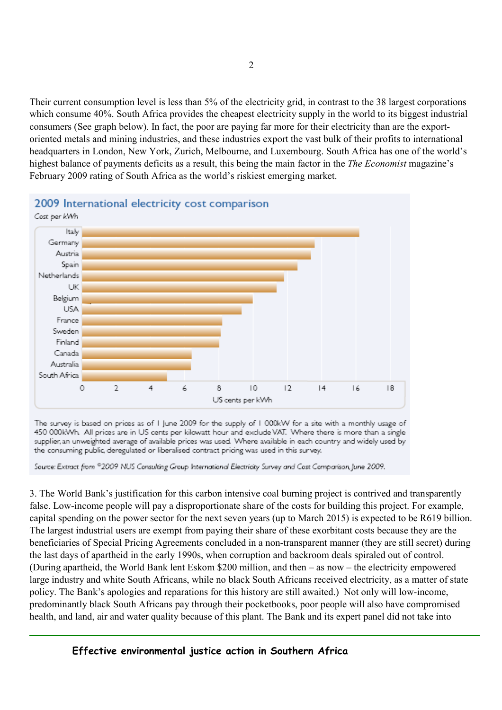Their current consumption level is less than 5% of the electricity grid, in contrast to the 38 largest corporations which consume 40%. South Africa provides the cheapest electricity supply in the world to its biggest industrial consumers (See graph below). In fact, the poor are paying far more for their electricity than are the exportoriented metals and mining industries, and these industries export the vast bulk of their profits to international headquarters in London, New York, Zurich, Melbourne, and Luxembourg. South Africa has one of the world's highest balance of payments deficits as a result, this being the main factor in the *The Economist* magazine's February 2009 rating of South Africa as the world's riskiest emerging market.



# 2009 International electricity cost comparison

The survey is based on prices as of I June 2009 for the supply of I 000kW for a site with a monthly usage of 450 000kWh. All prices are in US cents per kilowatt hour and exclude VAT. Where there is more than a single supplier, an unweighted average of available prices was used. Where available in each country and widely used by the consuming public, deregulated or liberalised contract pricing was used in this survey.

Source: Extract from ®2009 NUS Consulting Group International Electricity Survey and Cost Comparison, June 2009.

3. The World Bank's justification for this carbon intensive coal burning project is contrived and transparently false. Low-income people will pay a disproportionate share of the costs for building this project. For example, capital spending on the power sector for the next seven years (up to March 2015) is expected to be R619 billion. The largest industrial users are exempt from paying their share of these exorbitant costs because they are the beneficiaries of Special Pricing Agreements concluded in a non-transparent manner (they are still secret) during the last days of apartheid in the early 1990s, when corruption and backroom deals spiraled out of control. (During apartheid, the World Bank lent Eskom \$200 million, and then – as now – the electricity empowered large industry and white South Africans, while no black South Africans received electricity, as a matter of state policy. The Bank's apologies and reparations for this history are still awaited.) Not only will low-income, predominantly black South Africans pay through their pocketbooks, poor people will also have compromised health, and land, air and water quality because of this plant. The Bank and its expert panel did not take into

 **Effective environmental justice action in Southern Africa**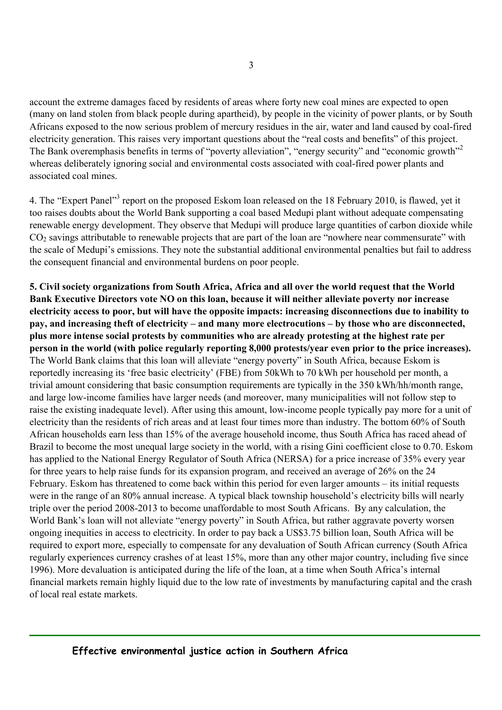account the extreme damages faced by residents of areas where forty new coal mines are expected to open (many on land stolen from black people during apartheid), by people in the vicinity of power plants, or by South Africans exposed to the now serious problem of mercury residues in the air, water and land caused by coal-fired electricity generation. This raises very important questions about the "real costs and benefits" of this project. The Bank overemphasis benefits in terms of "poverty alleviation", "energy security" and "economic growth"<sup>2</sup> whereas deliberately ignoring social and environmental costs associated with coal-fired power plants and associated coal mines.

4. The "Expert Panel"<sup>3</sup> report on the proposed Eskom loan released on the 18 February 2010, is flawed, yet it too raises doubts about the World Bank supporting a coal based Medupi plant without adequate compensating renewable energy development. They observe that Medupi will produce large quantities of carbon dioxide while  $CO<sub>2</sub>$  savings attributable to renewable projects that are part of the loan are "nowhere near commensurate" with the scale of Medupi's emissions. They note the substantial additional environmental penalties but fail to address the consequent financial and environmental burdens on poor people.

**5. Civil society organizations from South Africa, Africa and all over the world request that the World Bank Executive Directors vote NO on this loan, because it will neither alleviate poverty nor increase electricity access to poor, but will have the opposite impacts: increasing disconnections due to inability to pay, and increasing theft of electricity – and many more electrocutions – by those who are disconnected, plus more intense social protests by communities who are already protesting at the highest rate per person in the world (with police regularly reporting 8,000 protests/year even prior to the price increases).**  The World Bank claims that this loan will alleviate "energy poverty" in South Africa, because Eskom is reportedly increasing its 'free basic electricity' (FBE) from 50kWh to 70 kWh per household per month, a trivial amount considering that basic consumption requirements are typically in the 350 kWh/hh/month range, and large low-income families have larger needs (and moreover, many municipalities will not follow step to raise the existing inadequate level). After using this amount, low-income people typically pay more for a unit of electricity than the residents of rich areas and at least four times more than industry. The bottom 60% of South African households earn less than 15% of the average household income, thus South Africa has raced ahead of Brazil to become the most unequal large society in the world, with a rising Gini coefficient close to 0.70. Eskom has applied to the National Energy Regulator of South Africa (NERSA) for a price increase of 35% every year for three years to help raise funds for its expansion program, and received an average of 26% on the 24 February. Eskom has threatened to come back within this period for even larger amounts – its initial requests were in the range of an 80% annual increase. A typical black township household's electricity bills will nearly triple over the period 2008-2013 to become unaffordable to most South Africans. By any calculation, the World Bank's loan will not alleviate "energy poverty" in South Africa, but rather aggravate poverty worsen ongoing inequities in access to electricity. In order to pay back a US\$3.75 billion loan, South Africa will be required to export more, especially to compensate for any devaluation of South African currency (South Africa regularly experiences currency crashes of at least 15%, more than any other major country, including five since 1996). More devaluation is anticipated during the life of the loan, at a time when South Africa's internal financial markets remain highly liquid due to the low rate of investments by manufacturing capital and the crash of local real estate markets.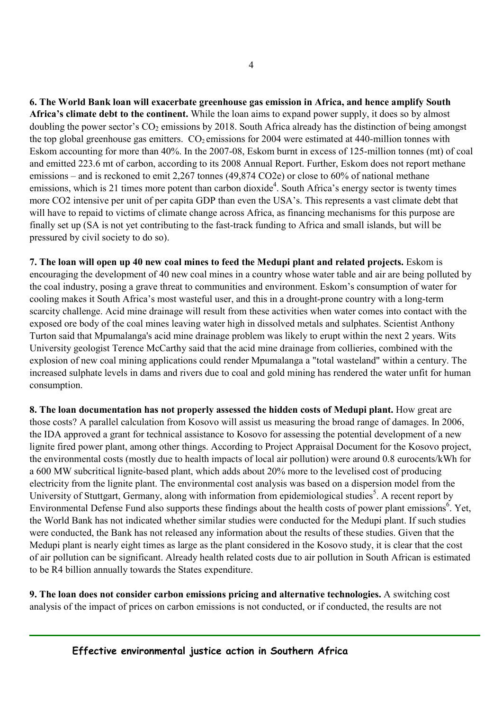**6. The World Bank loan will exacerbate greenhouse gas emission in Africa, and hence amplify South Africa's climate debt to the continent.** While the loan aims to expand power supply, it does so by almost doubling the power sector's  $CO<sub>2</sub>$  emissions by 2018. South Africa already has the distinction of being amongst the top global greenhouse gas emitters.  $CO<sub>2</sub>$  emissions for 2004 were estimated at 440-million tonnes with Eskom accounting for more than 40%. In the 2007-08, Eskom burnt in excess of 125-million tonnes (mt) of coal and emitted 223.6 mt of carbon, according to its 2008 Annual Report. Further, Eskom does not report methane emissions – and is reckoned to emit 2,267 tonnes (49,874 CO2e) or close to 60% of national methane emissions, which is 21 times more potent than carbon dioxide<sup>4</sup>. South Africa's energy sector is twenty times more CO2 intensive per unit of per capita GDP than even the USA's. This represents a vast climate debt that will have to repaid to victims of climate change across Africa, as financing mechanisms for this purpose are finally set up (SA is not yet contributing to the fast-track funding to Africa and small islands, but will be pressured by civil society to do so).

**7. The loan will open up 40 new coal mines to feed the Medupi plant and related projects.** Eskom is encouraging the development of 40 new coal mines in a country whose water table and air are being polluted by the coal industry, posing a grave threat to communities and environment. Eskom's consumption of water for cooling makes it South Africa's most wasteful user, and this in a drought-prone country with a long-term scarcity challenge. Acid mine drainage will result from these activities when water comes into contact with the exposed ore body of the coal mines leaving water high in dissolved metals and sulphates. Scientist Anthony Turton said that Mpumalanga's acid mine drainage problem was likely to erupt within the next 2 years. Wits University geologist Terence McCarthy said that the acid mine drainage from collieries, combined with the explosion of new coal mining applications could render Mpumalanga a "total wasteland" within a century. The increased sulphate levels in dams and rivers due to coal and gold mining has rendered the water unfit for human consumption.

**8. The loan documentation has not properly assessed the hidden costs of Medupi plant.** How great are those costs? A parallel calculation from Kosovo will assist us measuring the broad range of damages. In 2006, the IDA approved a grant for technical assistance to Kosovo for assessing the potential development of a new lignite fired power plant, among other things. According to Project Appraisal Document for the Kosovo project, the environmental costs (mostly due to health impacts of local air pollution) were around 0.8 eurocents/kWh for a 600 MW subcritical lignite-based plant, which adds about 20% more to the levelised cost of producing electricity from the lignite plant. The environmental cost analysis was based on a dispersion model from the University of Stuttgart, Germany, along with information from epidemiological studies<sup>5</sup>. A recent report by Environmental Defense Fund also supports these findings about the health costs of power plant emissions<sup>6</sup>. Yet, the World Bank has not indicated whether similar studies were conducted for the Medupi plant. If such studies were conducted, the Bank has not released any information about the results of these studies. Given that the Medupi plant is nearly eight times as large as the plant considered in the Kosovo study, it is clear that the cost of air pollution can be significant. Already health related costs due to air pollution in South African is estimated to be R4 billion annually towards the States expenditure.

**9. The loan does not consider carbon emissions pricing and alternative technologies.** A switching cost analysis of the impact of prices on carbon emissions is not conducted, or if conducted, the results are not

 **Effective environmental justice action in Southern Africa**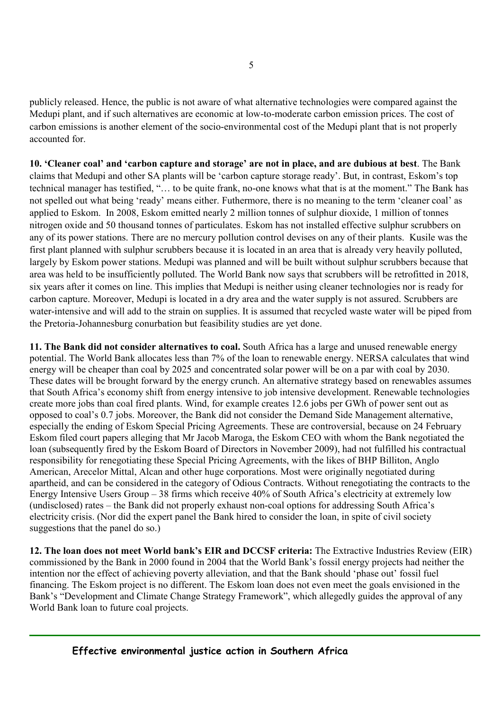publicly released. Hence, the public is not aware of what alternative technologies were compared against the Medupi plant, and if such alternatives are economic at low-to-moderate carbon emission prices. The cost of carbon emissions is another element of the socio-environmental cost of the Medupi plant that is not properly accounted for.

**10. 'Cleaner coal' and 'carbon capture and storage' are not in place, and are dubious at best**. The Bank claims that Medupi and other SA plants will be 'carbon capture storage ready'. But, in contrast, Eskom's top technical manager has testified, "… to be quite frank, no-one knows what that is at the moment." The Bank has not spelled out what being 'ready' means either. Futhermore, there is no meaning to the term 'cleaner coal' as applied to Eskom. In 2008, Eskom emitted nearly 2 million tonnes of sulphur dioxide, 1 million of tonnes nitrogen oxide and 50 thousand tonnes of particulates. Eskom has not installed effective sulphur scrubbers on any of its power stations. There are no mercury pollution control devises on any of their plants. Kusile was the first plant planned with sulphur scrubbers because it is located in an area that is already very heavily polluted, largely by Eskom power stations. Medupi was planned and will be built without sulphur scrubbers because that area was held to be insufficiently polluted. The World Bank now says that scrubbers will be retrofitted in 2018, six years after it comes on line. This implies that Medupi is neither using cleaner technologies nor is ready for carbon capture. Moreover, Medupi is located in a dry area and the water supply is not assured. Scrubbers are water-intensive and will add to the strain on supplies. It is assumed that recycled waste water will be piped from the Pretoria-Johannesburg conurbation but feasibility studies are yet done.

**11. The Bank did not consider alternatives to coal.** South Africa has a large and unused renewable energy potential. The World Bank allocates less than 7% of the loan to renewable energy. NERSA calculates that wind energy will be cheaper than coal by 2025 and concentrated solar power will be on a par with coal by 2030. These dates will be brought forward by the energy crunch. An alternative strategy based on renewables assumes that South Africa's economy shift from energy intensive to job intensive development. Renewable technologies create more jobs than coal fired plants. Wind, for example creates 12.6 jobs per GWh of power sent out as opposed to coal's 0.7 jobs. Moreover, the Bank did not consider the Demand Side Management alternative, especially the ending of Eskom Special Pricing Agreements. These are controversial, because on 24 February Eskom filed court papers alleging that Mr Jacob Maroga, the Eskom CEO with whom the Bank negotiated the loan (subsequently fired by the Eskom Board of Directors in November 2009), had not fulfilled his contractual responsibility for renegotiating these Special Pricing Agreements, with the likes of BHP Billiton, Anglo American, Arecelor Mittal, Alcan and other huge corporations. Most were originally negotiated during apartheid, and can be considered in the category of Odious Contracts. Without renegotiating the contracts to the Energy Intensive Users Group – 38 firms which receive 40% of South Africa's electricity at extremely low (undisclosed) rates – the Bank did not properly exhaust non-coal options for addressing South Africa's electricity crisis. (Nor did the expert panel the Bank hired to consider the loan, in spite of civil society suggestions that the panel do so.)

**12. The loan does not meet World bank's EIR and DCCSF criteria:** The Extractive Industries Review (EIR) commissioned by the Bank in 2000 found in 2004 that the World Bank's fossil energy projects had neither the intention nor the effect of achieving poverty alleviation, and that the Bank should 'phase out' fossil fuel financing. The Eskom project is no different. The Eskom loan does not even meet the goals envisioned in the Bank's "Development and Climate Change Strategy Framework", which allegedly guides the approval of any World Bank loan to future coal projects.